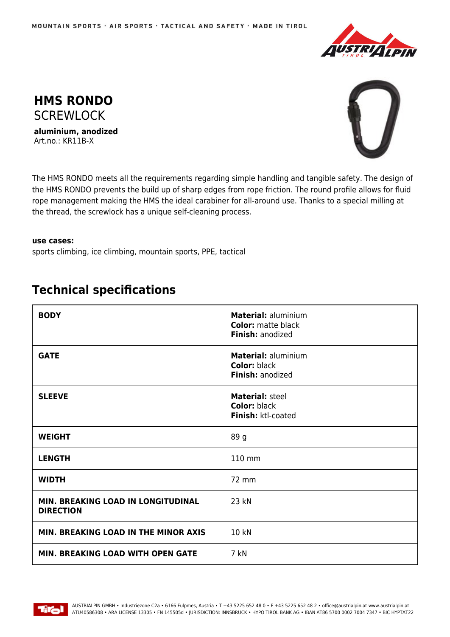



**aluminium, anodized** Art.no.: KR11B-X



The HMS RONDO meets all the requirements regarding simple handling and tangible safety. The design of the HMS RONDO prevents the build up of sharp edges from rope friction. The round profile allows for fluid rope management making the HMS the ideal carabiner for all-around use. Thanks to a special milling at the thread, the screwlock has a unique self-cleaning process.

## **use cases:**

sports climbing, ice climbing, mountain sports, PPE, tactical

## **Technical specifications**

| <b>BODY</b>                                            | Material: aluminium<br><b>Color:</b> matte black<br>Finish: anodized  |
|--------------------------------------------------------|-----------------------------------------------------------------------|
| <b>GATE</b>                                            | <b>Material: aluminium</b><br><b>Color: black</b><br>Finish: anodized |
| <b>SLEEVE</b>                                          | Material: steel<br><b>Color: black</b><br>Finish: ktl-coated          |
| <b>WEIGHT</b>                                          | 89 g                                                                  |
| <b>LENGTH</b>                                          | 110 mm                                                                |
| <b>WIDTH</b>                                           | 72 mm                                                                 |
| MIN. BREAKING LOAD IN LONGITUDINAL<br><b>DIRECTION</b> | 23 kN                                                                 |
| MIN. BREAKING LOAD IN THE MINOR AXIS                   | 10 kN                                                                 |
| MIN. BREAKING LOAD WITH OPEN GATE                      | 7 kN                                                                  |